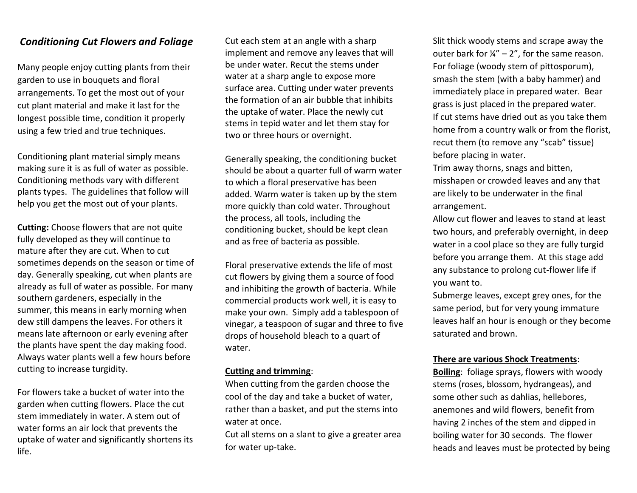## *Conditioning Cut Flowers and Foliage*

Many people enjoy cutting plants from their garden to use in bouquets and floral arrangements. To get the most out of your cut plant material and make it last for the longest possible time, condition it properly using a few tried and true techniques.

Conditioning plant material simply means making sure it is as full of water as possible. Conditioning methods vary with different plants types. The guidelines that follow will help you get the most out of your plants.

**Cutting:** Choose flowers that are not quite fully developed as they will continue to mature after they are cut. When to cut sometimes depends on the season or time of day. Generally speaking, cut when plants are already as full of water as possible. For many southern gardeners, especially in the summer, this means in early morning when dew still dampens the leaves. For others it means late afternoon or early evening after the plants have spent the day making food. Always water plants well a few hours before cutting to increase turgidity.

For flowers take a bucket of water into the garden when cutting flowers. Place the cut stem immediately in water. A stem out of water forms an air lock that prevents the uptake of water and significantly shortens its life.

Cut each stem at an angle with a sharp implement and remove any leaves that will be under water. Recut the stems under water at a sharp angle to expose more surface area. Cutting under water prevents the formation of an air bubble that inhibits the uptake of water. Place the newly cut stems in tepid water and let them stay for two or three hours or overnight.

Generally speaking, the conditioning bucket should be about a quarter full of warm water to which a floral preservative has been added. Warm water is taken up by the stem more quickly than cold water. Throughout the process, all tools, including the conditioning bucket, should be kept clean and as free of bacteria as possible.

Floral preservative extends the life of most cut flowers by giving them a source of food and inhibiting the growth of bacteria. While commercial products work well, it is easy to make your own. Simply add a tablespoon of vinegar, a teaspoon of sugar and three to five drops of household bleach to a quart of water.

### **Cutting and trimming**:

When cutting from the garden choose the cool of the day and take a bucket of water, rather than a basket, and put the stems into water at once.

Cut all stems on a slant to give a greater area for water up-take.

Slit thick woody stems and scrape away the outer bark for  $\frac{1}{4}$  – 2", for the same reason. For foliage (woody stem of pittosporum), smash the stem (with a baby hammer) and immediately place in prepared water. Bear grass is just placed in the prepared water. If cut stems have dried out as you take them home from a country walk or from the florist, recut them (to remove any "scab" tissue) before placing in water.

Trim away thorns, snags and bitten, misshapen or crowded leaves and any that are likely to be underwater in the final arrangement.

Allow cut flower and leaves to stand at least two hours, and preferably overnight, in deep water in a cool place so they are fully turgid before you arrange them. At this stage add any substance to prolong cut-flower life if you want to.

Submerge leaves, except grey ones, for the same period, but for very young immature leaves half an hour is enough or they become saturated and brown.

### **There are various Shock Treatments**:

**Boiling**: foliage sprays, flowers with woody stems (roses, blossom, hydrangeas), and some other such as dahlias, hellebores, anemones and wild flowers, benefit from having 2 inches of the stem and dipped in boiling water for 30 seconds. The flower heads and leaves must be protected by being